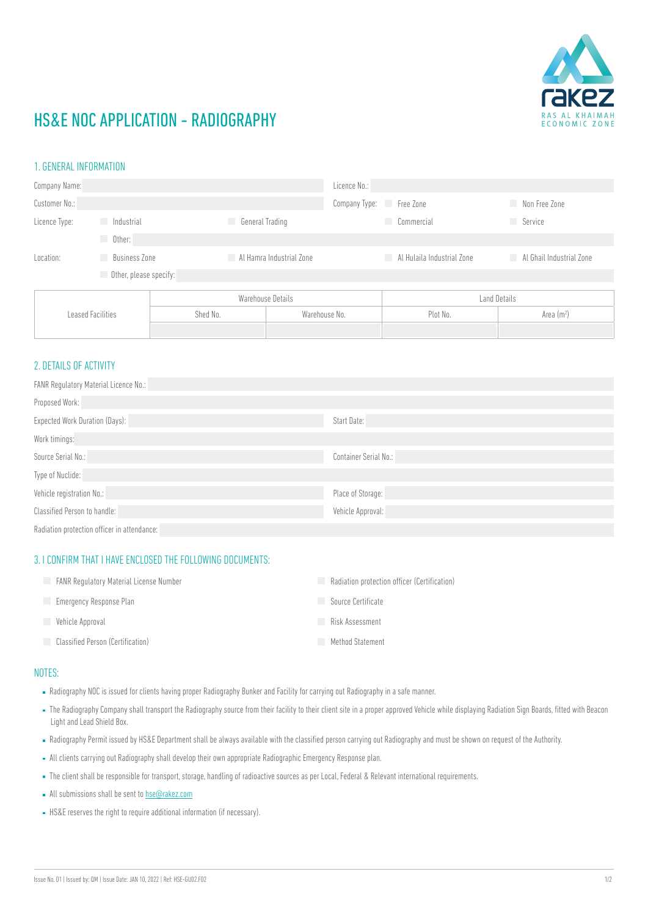

## HS&E NOC APPLICATION - RADIOGRAPHY

#### 1. GENERAL INFORMATION

| Company Name:     |                        |                 | Licence No.:             |                            |                          |  |
|-------------------|------------------------|-----------------|--------------------------|----------------------------|--------------------------|--|
| Customer No.:     |                        |                 | Company Type: Free Zone  |                            | Non Free Zone            |  |
| Licence Type:     | Industrial             | General Trading |                          | Commercial                 | <b>Service</b>           |  |
|                   | Other:<br>a a          |                 |                          |                            |                          |  |
| Location:         | <b>Business Zone</b>   | u.              | Al Hamra Industrial Zone | Al Hulaila Industrial Zone | Al Ghail Industrial Zone |  |
|                   | Other, please specify: |                 |                          |                            |                          |  |
| Leased Facilities |                        |                 | Warehouse Details        |                            | Land Details             |  |
|                   |                        | Shed No.        | Warehouse No.            |                            | Area $(m2)$              |  |
|                   |                        |                 |                          |                            |                          |  |

## 2. DETAILS OF ACTIVITY

| <b>FANR Regulatory Material Licence No.:</b> |                       |  |  |  |
|----------------------------------------------|-----------------------|--|--|--|
| Proposed Work:                               |                       |  |  |  |
| <b>Expected Work Duration (Days):</b>        | Start Date:           |  |  |  |
| Work timings:                                |                       |  |  |  |
| Source Serial No.:                           | Container Serial No.: |  |  |  |
| Type of Nuclide:                             |                       |  |  |  |
| Vehicle registration No.:                    | Place of Storage:     |  |  |  |
| Classified Person to handle:                 | Vehicle Approval:     |  |  |  |
| Radiation protection officer in attendance:  |                       |  |  |  |

#### 3. I CONFIRM THAT I HAVE ENCLOSED THE FOLLOWING DOCUMENTS:

| <b>FANR Requlatory Material License Number</b> | Radiation protection officer (Certification) |
|------------------------------------------------|----------------------------------------------|
| Emergency Response Plan                        | Source Certificate                           |
| Vehicle Approval                               | Risk Assessment                              |
| <b>Classified Person (Certification)</b>       | Method Statement                             |

## NOTES:

- Radiography NOC is issued for clients having proper Radiography Bunker and Facility for carrying out Radiography in a safe manner.
- The Radiography Company shall transport the Radiography source from their facility to their client site in a proper approved Vehicle while displaying Radiation Sign Boards, fitted with Beacon Light and Lead Shield Box.
- Radiography Permit issued by HS&E Department shall be always available with the classified person carrying out Radiography and must be shown on request of the Authority.
- All clients carrying out Radiography shall develop their own appropriate Radiographic Emergency Response plan.
- The client shall be responsible for transport, storage, handling of radioactive sources as per Local, Federal & Relevant international requirements.
- All submissions shall be sent to [hse@rakez.com](mailto:hse%40rakez.com?subject=)
- HS&E reserves the right to require additional information (if necessary).